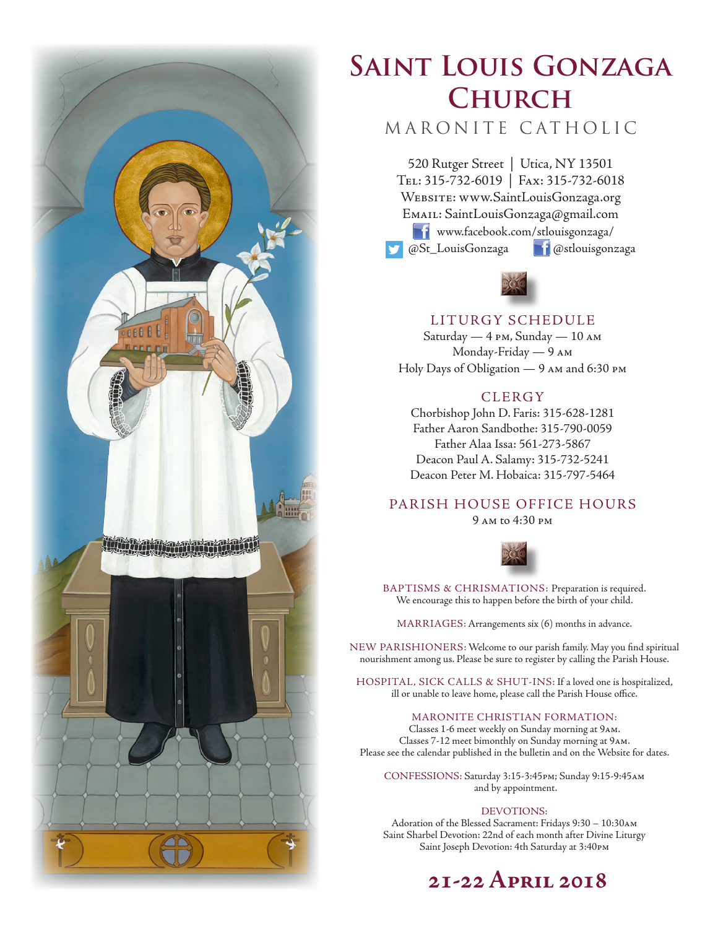

# **Saint Louis Gonzaga Church**

# MARONITE CATHOLIC

520 Rutger Street | Utica, NY 13501 Tel: 315-732-6019 | Fax: 315-732-6018 Website: www.SaintLouisGonzaga.org Email: SaintLouisGonzaga@gmail.com **T1** www.facebook.com/stlouisgonzaga/ **@St\_LouisGonzaga def** @stlouisgonzaga



# LITURGY SCHEDULE

Saturday — 4 pm, Sunday — 10 am Monday-Friday — 9 am Holy Days of Obligation — 9 am and 6:30 pm

# **CLERGY**

Chorbishop John D. Faris: 315-628-1281 Father Aaron Sandbothe: 315-790-0059 Father Alaa Issa: 561-273-5867 Deacon Paul A. Salamy: 315-732-5241 Deacon Peter M. Hobaica: 315-797-5464

# PARISH HOUSE OFFICE HOURS

9 am to 4:30 pm



BAPTISMS & CHRISMATIONS: Preparation is required. We encourage this to happen before the birth of your child.

MARRIAGES: Arrangements six (6) months in advance.

NEW PARISHIONERS: Welcome to our parish family. May you find spiritual nourishment among us. Please be sure to register by calling the Parish House.

HOSPITAL, SICK CALLS & SHUT-INS: If a loved one is hospitalized, ill or unable to leave home, please call the Parish House office.

## MARONITE CHRISTIAN FORMATION:

Classes 1-6 meet weekly on Sunday morning at 9am. Classes 7-12 meet bimonthly on Sunday morning at 9am. Please see the calendar published in the bulletin and on the Website for dates.

CONFESSIONS: Saturday 3:15-3:45pm; Sunday 9:15-9:45am and by appointment.

## DEVOTIONS:

Adoration of the Blessed Sacrament: Fridays 9:30 – 10:30am Saint Sharbel Devotion: 22nd of each month after Divine Liturgy Saint Joseph Devotion: 4th Saturday at 3:40pm

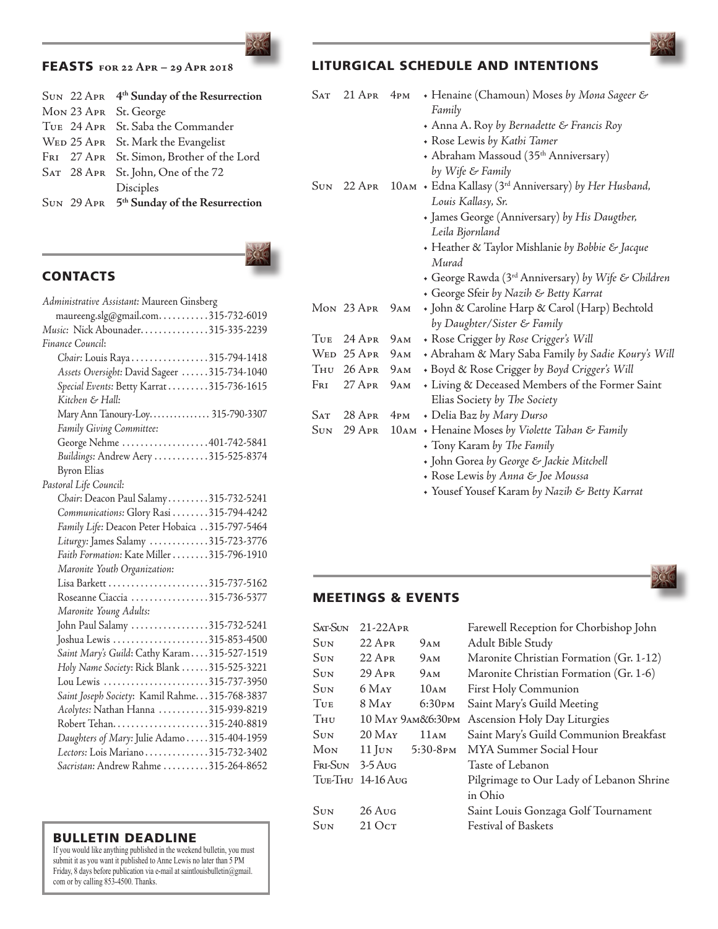If you would like anything published in the weekend bulletin, you must submit it as you want it published to Anne Lewis no later than 5 PM Friday, 8 days before publication via e-mail at saintlouisbulletin@gmail. com or by calling 853-4500. Thanks.

## FEASTS **for 22 Apr – 29 Apr 2018**

|  | SUN 22 APR 4 <sup>th</sup> Sunday of the Resurrection |
|--|-------------------------------------------------------|
|  | Mon 23 APR St. George                                 |
|  | TUE 24 APR St. Saba the Commander                     |
|  | WED 25 APR St. Mark the Evangelist                    |
|  | FRI 27 APR St. Simon, Brother of the Lord             |
|  | SAT 28 APR St. John, One of the 72                    |
|  | Disciples                                             |
|  | SUN 29 APR 5 <sup>th</sup> Sunday of the Resurrection |
|  |                                                       |

## **CONTACTS**

| Administrative Assistant: Maureen Ginsberg      |
|-------------------------------------------------|
| maureeng.slg@gmail.com315-732-6019              |
| Music: Nick Abounader315-335-2239               |
| Finance Council:                                |
| Chair: Louis Raya315-794-1418                   |
| Assets Oversight: David Sageer 315-734-1040     |
| Special Events: Betty Karrat 315-736-1615       |
| Kitchen & Hall:                                 |
| Mary Ann Tanoury-Loy 315-790-3307               |
| Family Giving Committee:                        |
| George Nehme 401-742-5841                       |
| Buildings: Andrew Aery 315-525-8374             |
| <b>Byron Elias</b>                              |
| Pastoral Life Council:                          |
| Chair: Deacon Paul Salamy315-732-5241           |
| Communications: Glory Rasi 315-794-4242         |
| Family Life: Deacon Peter Hobaica 315-797-5464  |
| Liturgy: James Salamy 315-723-3776              |
| Faith Formation: Kate Miller 315-796-1910       |
| Maronite Youth Organization:                    |
|                                                 |
| Roseanne Ciaccia 315-736-5377                   |
| Maronite Young Adults:                          |
| John Paul Salamy 315-732-5241                   |
|                                                 |
| Saint Mary's Guild: Cathy Karam315-527-1519     |
| Holy Name Society: Rick Blank 315-525-3221      |
| Lou Lewis 315-737-3950                          |
| Saint Joseph Society: Kamil Rahme. 315-768-3837 |
| Acolytes: Nathan Hanna 315-939-8219             |
|                                                 |
| Daughters of Mary: Julie Adamo 315-404-1959     |
| Lectors: Lois Mariano 315-732-3402              |
| Sacristan: Andrew Rahme 315-264-8652            |
|                                                 |

# LITURGICAL SCHEDULE AND INTENTIONS

| Sat             | $21$ Apr   | 4 <sub>PM</sub> | + Henaine (Chamoun) Moses by Mona Sageer &                        |
|-----------------|------------|-----------------|-------------------------------------------------------------------|
|                 |            |                 | Family                                                            |
|                 |            |                 | + Anna A. Roy by Bernadette & Francis Roy                         |
|                 |            |                 | + Rose Lewis by Kathi Tamer                                       |
|                 |            |                 | + Abraham Massoud (35th Anniversary)                              |
|                 |            |                 | by Wife & Family                                                  |
|                 | Sun 22 Apr |                 | 10AM + Edna Kallasy (3 <sup>rd</sup> Anniversary) by Her Husband, |
|                 |            |                 | Louis Kallasy, Sr.                                                |
|                 |            |                 | • James George (Anniversary) by His Daugther,                     |
|                 |            |                 | Leila Bjornland                                                   |
|                 |            |                 | + Heather & Taylor Mishlanie by Bobbie & Jacque                   |
|                 |            |                 | Murad                                                             |
|                 |            |                 | George Rawda (3 <sup>rd</sup> Anniversary) by Wife & Children     |
|                 |            |                 | George Sfeir by Nazih & Betty Karrat                              |
|                 | Mon 23 Apr | 9ам             | • John & Caroline Harp & Carol (Harp) Bechtold                    |
|                 |            |                 | by Daughter/Sister & Family                                       |
| T <sub>UE</sub> | 24 Apr     | 9ам             | + Rose Crigger by Rose Crigger's Will                             |
|                 | WED 25 APR | 9ам             | + Abraham & Mary Saba Family by Sadie Koury's Will                |
|                 | THU 26 APR | 9 <sub>am</sub> | + Boyd & Rose Crigger by Boyd Crigger's Will                      |
|                 | Fri 27 Apr | 9AM             | + Living & Deceased Members of the Former Saint                   |
|                 |            |                 | Elias Society by The Society                                      |
| <b>SAT</b>      | $28$ Apr   | 4 <sub>PM</sub> | + Delia Baz by Mary Durso                                         |
| Sun             | $29$ Apr   |                 | 10AM + Henaine Moses by Violette Tahan & Family                   |
|                 |            |                 | • Tony Karam by The Family                                        |
|                 |            |                 | • John Gorea by George & Jackie Mitchell                          |
|                 |            |                 | + Rose Lewis by Anna & Joe Moussa                                 |
|                 |            |                 | + Yousef Yousef Karam by Nazih & Betty Karrat                     |
|                 |            |                 |                                                                   |

# MEETINGS & EVENTS

| Sat-Sun | $21-22A$ <sub>PR</sub> |                      | Farewell Reception for Chorbishop John   |
|---------|------------------------|----------------------|------------------------------------------|
| Sun     | $22$ Apr               | 9AM                  | Adult Bible Study                        |
| Sun     | $22$ Apr               | 9ам                  | Maronite Christian Formation (Gr. 1-12)  |
| Sun     | $29$ Apr               | 9AM                  | Maronite Christian Formation (Gr. 1-6)   |
| Sun     | 6 May                  | 10AM                 | First Holy Communion                     |
| Tue     | $8\ \mathrm{May}$      | 6:30 <sub>PM</sub>   | Saint Mary's Guild Meeting               |
| Тни     | 10 Мат 9 ам&6:30рм     |                      | Ascension Holy Day Liturgies             |
| Sun     | $20$ M <sub>AY</sub>   | 11AM                 | Saint Mary's Guild Communion Breakfast   |
| Мом     | $11$ Jun               | 5:30-8 <sub>PM</sub> | MYA Summer Social Hour                   |
| Fri-Sun | $3-5$ Aug              |                      | Taste of Lebanon                         |
| Tue-Thu | 14-16 Aug              |                      | Pilgrimage to Our Lady of Lebanon Shrine |
|         |                        |                      | in Ohio                                  |
| Sun     | $26$ Aug               |                      | Saint Louis Gonzaga Golf Tournament      |
| Sun     | 210cr                  |                      | <b>Festival of Baskets</b>               |
|         |                        |                      |                                          |